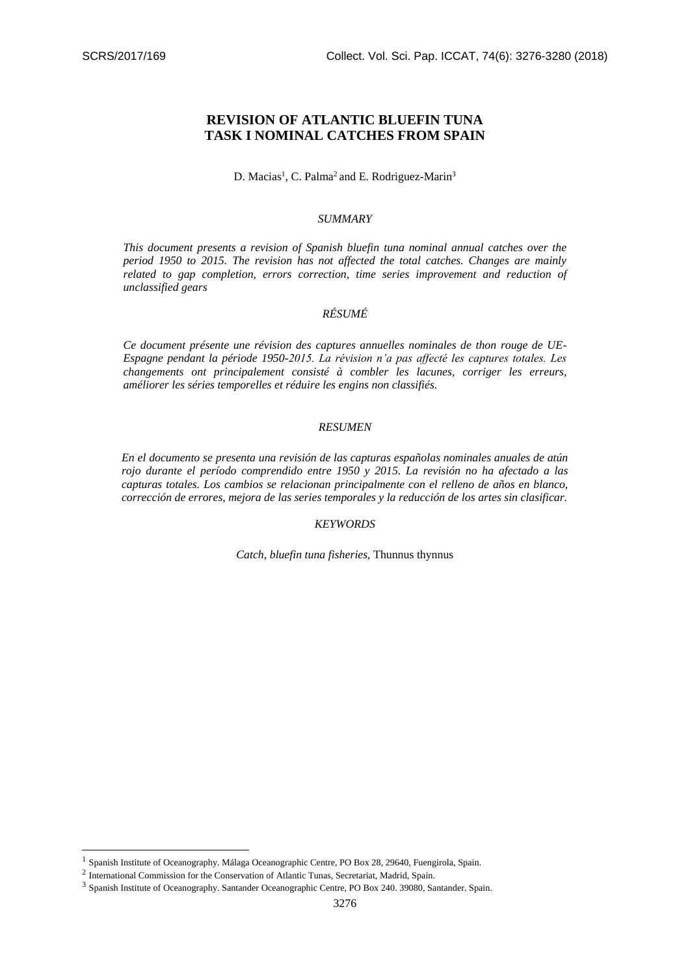# **REVISION OF ATLANTIC BLUEFIN TUNA TASK I NOMINAL CATCHES FROM SPAIN**

# D. Macias<sup>1</sup>, C. Palma<sup>2</sup> and E. Rodriguez-Marin<sup>3</sup>

#### *SUMMARY*

*This document presents a revision of Spanish bluefin tuna nominal annual catches over the period 1950 to 2015. The revision has not affected the total catches. Changes are mainly related to gap completion, errors correction, time series improvement and reduction of unclassified gears*

# *RÉSUMÉ*

*Ce document présente une révision des captures annuelles nominales de thon rouge de UE-Espagne pendant la période 1950-2015. La révision n'a pas affecté les captures totales. Les changements ont principalement consisté à combler les lacunes, corriger les erreurs, améliorer les séries temporelles et réduire les engins non classifiés.* 

#### *RESUMEN*

*En el documento se presenta una revisión de las capturas españolas nominales anuales de atún rojo durante el período comprendido entre 1950 y 2015. La revisión no ha afectado a las capturas totales. Los cambios se relacionan principalmente con el relleno de años en blanco, corrección de errores, mejora de las series temporales y la reducción de los artes sin clasificar.*

## *KEYWORDS*

*Catch, bluefin tuna fisheries,* Thunnus thynnus

1

<sup>&</sup>lt;sup>1</sup> Spanish Institute of Oceanography. Málaga Oceanographic Centre, PO Box 28, 29640, Fuengirola, Spain.

 $2$  International Commission for the Conservation of Atlantic Tunas, Secretariat, Madrid, Spain.

<sup>&</sup>lt;sup>3</sup> Spanish Institute of Oceanography. Santander Oceanographic Centre, PO Box 240. 39080, Santander. Spain.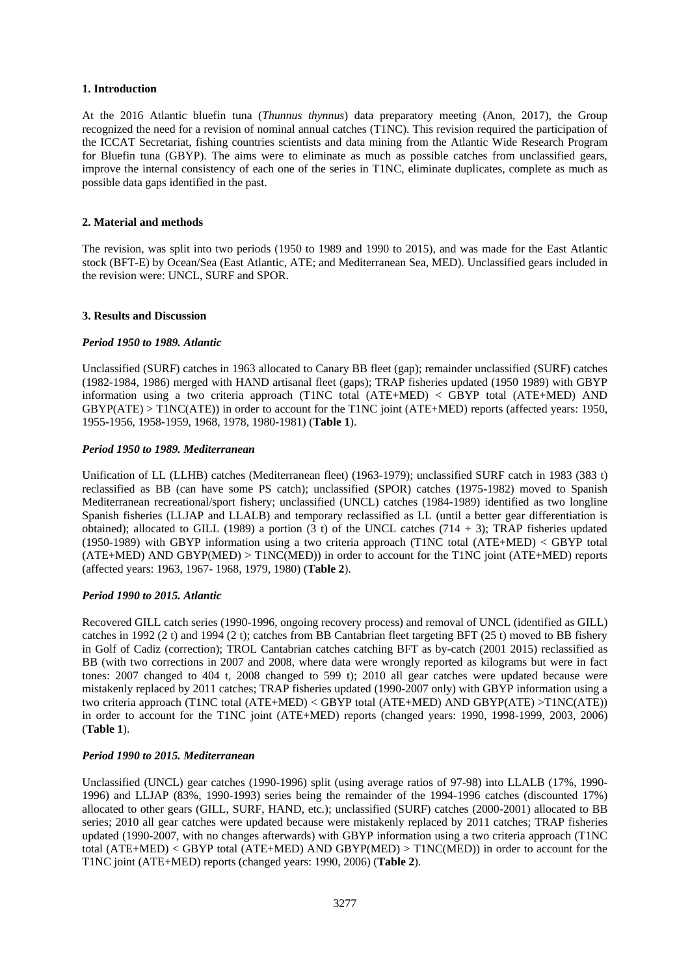#### **1. Introduction**

At the 2016 Atlantic bluefin tuna (*Thunnus thynnus*) data preparatory meeting (Anon, 2017), the Group recognized the need for a revision of nominal annual catches (T1NC). This revision required the participation of the ICCAT Secretariat, fishing countries scientists and data mining from the Atlantic Wide Research Program for Bluefin tuna (GBYP). The aims were to eliminate as much as possible catches from unclassified gears, improve the internal consistency of each one of the series in T1NC, eliminate duplicates, complete as much as possible data gaps identified in the past.

#### **2. Material and methods**

The revision, was split into two periods (1950 to 1989 and 1990 to 2015), and was made for the East Atlantic stock (BFT-E) by Ocean/Sea (East Atlantic, ATE; and Mediterranean Sea, MED). Unclassified gears included in the revision were: UNCL, SURF and SPOR.

#### **3. Results and Discussion**

#### *Period 1950 to 1989. Atlantic*

Unclassified (SURF) catches in 1963 allocated to Canary BB fleet (gap); remainder unclassified (SURF) catches (1982-1984, 1986) merged with HAND artisanal fleet (gaps); TRAP fisheries updated (1950 1989) with GBYP information using a two criteria approach (T1NC total (ATE+MED) < GBYP total (ATE+MED) AND GBYP(ATE) > T1NC(ATE)) in order to account for the T1NC joint (ATE+MED) reports (affected years: 1950, 1955-1956, 1958-1959, 1968, 1978, 1980-1981) (**Table 1**).

#### *Period 1950 to 1989. Mediterranean*

Unification of LL (LLHB) catches (Mediterranean fleet) (1963-1979); unclassified SURF catch in 1983 (383 t) reclassified as BB (can have some PS catch); unclassified (SPOR) catches (1975-1982) moved to Spanish Mediterranean recreational/sport fishery; unclassified (UNCL) catches (1984-1989) identified as two longline Spanish fisheries (LLJAP and LLALB) and temporary reclassified as LL (until a better gear differentiation is obtained); allocated to GILL (1989) a portion  $(3 \text{ t})$  of the UNCL catches  $(714 + 3)$ ; TRAP fisheries updated (1950-1989) with GBYP information using a two criteria approach (T1NC total (ATE+MED) < GBYP total (ATE+MED) AND GBYP(MED) > T1NC(MED)) in order to account for the T1NC joint (ATE+MED) reports (affected years: 1963, 1967- 1968, 1979, 1980) (**Table 2**).

## *Period 1990 to 2015. Atlantic*

Recovered GILL catch series (1990-1996, ongoing recovery process) and removal of UNCL (identified as GILL) catches in 1992 (2 t) and 1994 (2 t); catches from BB Cantabrian fleet targeting BFT (25 t) moved to BB fishery in Golf of Cadiz (correction); TROL Cantabrian catches catching BFT as by-catch (2001 2015) reclassified as BB (with two corrections in 2007 and 2008, where data were wrongly reported as kilograms but were in fact tones: 2007 changed to 404 t, 2008 changed to 599 t); 2010 all gear catches were updated because were mistakenly replaced by 2011 catches; TRAP fisheries updated (1990-2007 only) with GBYP information using a two criteria approach (T1NC total (ATE+MED) < GBYP total (ATE+MED) AND GBYP(ATE) >T1NC(ATE)) in order to account for the T1NC joint (ATE+MED) reports (changed years: 1990, 1998-1999, 2003, 2006) (**Table 1**).

## *Period 1990 to 2015. Mediterranean*

Unclassified (UNCL) gear catches (1990-1996) split (using average ratios of 97-98) into LLALB (17%, 1990- 1996) and LLJAP (83%, 1990-1993) series being the remainder of the 1994-1996 catches (discounted 17%) allocated to other gears (GILL, SURF, HAND, etc.); unclassified (SURF) catches (2000-2001) allocated to BB series; 2010 all gear catches were updated because were mistakenly replaced by 2011 catches; TRAP fisheries updated (1990-2007, with no changes afterwards) with GBYP information using a two criteria approach (T1NC total (ATE+MED) < GBYP total (ATE+MED) AND GBYP(MED) > T1NC(MED)) in order to account for the T1NC joint (ATE+MED) reports (changed years: 1990, 2006) (**Table 2**).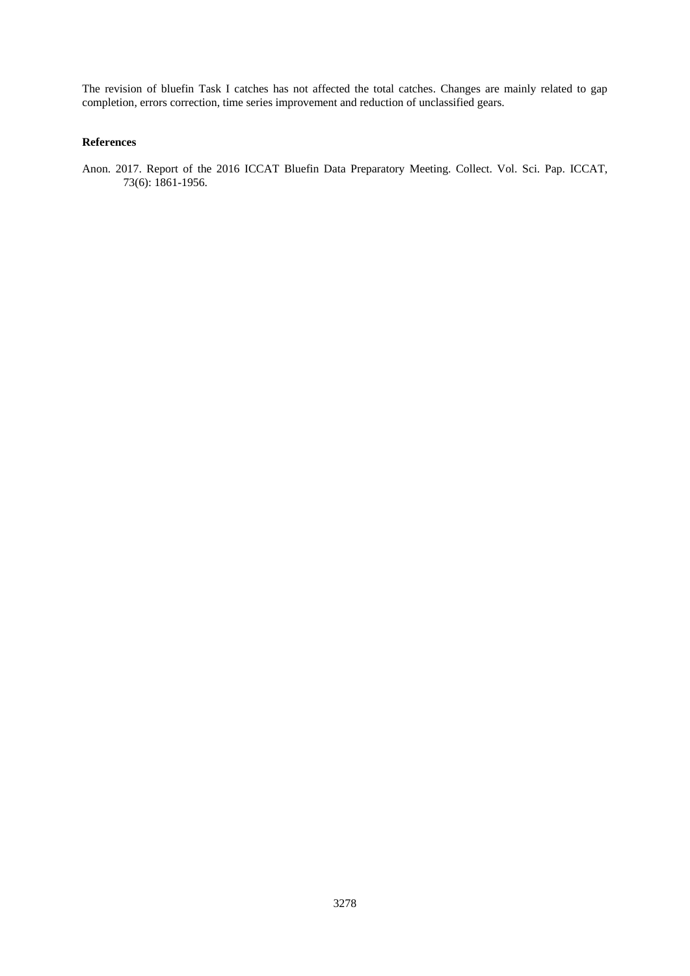The revision of bluefin Task I catches has not affected the total catches. Changes are mainly related to gap completion, errors correction, time series improvement and reduction of unclassified gears.

# **References**

Anon. 2017. Report of the 2016 ICCAT Bluefin Data Preparatory Meeting. Collect. Vol. Sci. Pap. ICCAT, 73(6): 1861-1956.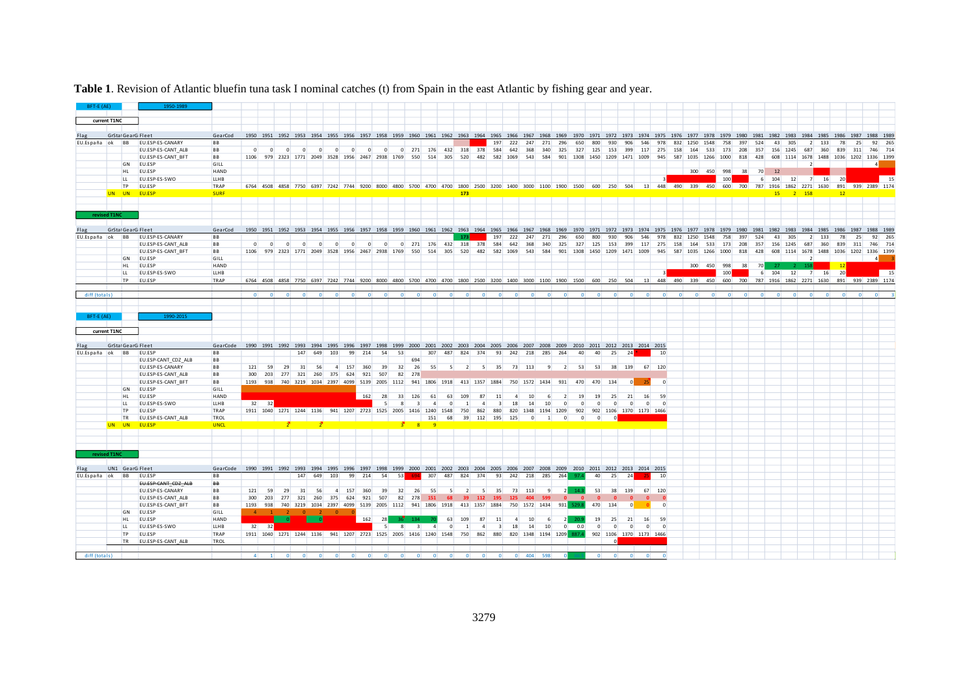| BFT-E (AE)      |              |                    | 1950-1989                        |             |                |                         |                |                         |                         |                                                                             |                |                         |                |            |                         |        |                       |                |         |                               |          |                                                                                                                                                  |              |                |                |                |                                      |                |                |                         |     |          |                    |      |                 |          |           |                          |      |         |     |     |                                                                      |  |
|-----------------|--------------|--------------------|----------------------------------|-------------|----------------|-------------------------|----------------|-------------------------|-------------------------|-----------------------------------------------------------------------------|----------------|-------------------------|----------------|------------|-------------------------|--------|-----------------------|----------------|---------|-------------------------------|----------|--------------------------------------------------------------------------------------------------------------------------------------------------|--------------|----------------|----------------|----------------|--------------------------------------|----------------|----------------|-------------------------|-----|----------|--------------------|------|-----------------|----------|-----------|--------------------------|------|---------|-----|-----|----------------------------------------------------------------------|--|
|                 |              |                    |                                  |             |                |                         |                |                         |                         |                                                                             |                |                         |                |            |                         |        |                       |                |         |                               |          |                                                                                                                                                  |              |                |                |                |                                      |                |                |                         |     |          |                    |      |                 |          |           |                          |      |         |     |     |                                                                      |  |
|                 | current T1NC |                    |                                  |             |                |                         |                |                         |                         |                                                                             |                |                         |                |            |                         |        |                       |                |         |                               |          |                                                                                                                                                  |              |                |                |                |                                      |                |                |                         |     |          |                    |      |                 |          |           |                          |      |         |     |     |                                                                      |  |
|                 |              | GrStal GearG Fleet |                                  | GearCod     |                |                         |                |                         |                         |                                                                             |                |                         |                |            |                         |        |                       |                |         |                               |          | 1950 1951 1952 1953 1954 1955 1956 1957 1958 1959 1960 1961 1962 1963 1964 1965 1966 1967 1968 1969 1970 1971 1972 1973 1974 1975 1976 1977 1978 |              |                |                |                |                                      |                |                |                         |     |          |                    | 1979 | 1980            | 1981     |           | 1982 1983 1984 1985 1986 |      |         |     |     |                                                                      |  |
|                 |              |                    | EU.España ok BB EU.ESP-ES-CANARY | <b>BB</b>   |                |                         |                |                         |                         |                                                                             |                |                         |                |            |                         |        |                       |                |         | 197                           | 222      | 247                                                                                                                                              | 271          | 296            | 650            | 800            | 930                                  | 906            | 546            | 978                     |     | 832 1250 | 1548               | 758  | 397             | 524      | 43        |                          |      |         |     |     |                                                                      |  |
|                 |              |                    | EU.ESP-ES-CANT ALB               | <b>BB</b>   | $\overline{0}$ | $\overline{\mathbf{0}}$ | $\overline{0}$ | $\overline{0}$          | $\overline{0}$          | $\overline{0}$                                                              | $\overline{0}$ | $\Omega$                | - 0            |            |                         |        |                       |                |         | 0 271 176 432 318 378 584 642 |          | 368                                                                                                                                              | 340          | 325            |                |                | 327 125 153 399                      |                |                | 117 275                 | 158 |          |                    |      | 164 533 173 208 | 357      |           | 156 1245                 | 687  | 360     | 839 | 311 |                                                                      |  |
|                 |              |                    | EU.ESP-ES-CANT_BFT               | BB          |                |                         |                |                         |                         | 1106 979 2323 1771 2049 3528 1956 2467 2938 1769                            |                |                         |                |            | 550                     | 514    | 305                   | 520            | 482     |                               | 582 1069 |                                                                                                                                                  |              |                |                |                | 543 584 901 1308 1450 1209 1471 1009 |                |                | 945                     |     |          | 587 1035 1266      | 1000 |                 |          |           |                          |      |         |     |     | 1114 1678 1488 1036 1202 1336 1399                                   |  |
|                 |              | GN                 | EU.ESP                           | GILL        |                |                         |                |                         |                         |                                                                             |                |                         |                |            |                         |        |                       |                |         |                               |          |                                                                                                                                                  |              |                |                |                |                                      |                |                |                         |     |          |                    |      |                 |          |           |                          |      |         |     |     |                                                                      |  |
|                 |              | HL                 | EU.ESP                           | <b>HAND</b> |                |                         |                |                         |                         |                                                                             |                |                         |                |            |                         |        |                       |                |         |                               |          |                                                                                                                                                  |              |                |                |                |                                      |                |                |                         |     |          | 300 450            | 998  | 38              | 70       | 12        |                          |      |         |     |     |                                                                      |  |
|                 |              | LL.                | EU.ESP-ES-SWO                    | <b>LLHB</b> |                |                         |                |                         |                         |                                                                             |                |                         |                |            |                         |        |                       |                |         |                               |          |                                                                                                                                                  |              |                |                |                |                                      |                |                |                         |     |          |                    | 100  |                 | $6 \mid$ | 104       |                          | 12   | 16<br>7 | 20  |     | - 15                                                                 |  |
|                 |              |                    | TP EU.ESP                        | TRAP        |                |                         |                |                         |                         |                                                                             |                |                         |                |            |                         |        |                       |                |         |                               |          | 6764 4508 4858 7750 6397 7242 7744 9200 8000 4800 5700 4700 4700 1800 2500 3200 1400 3000 1100 1900 1500 600 250 504                             |              |                |                |                |                                      |                |                |                         |     |          |                    |      |                 |          |           |                          |      |         |     |     | 13 448 490 339 450 600 700 787 1916 1862 2271 1630 891 939 2389 1174 |  |
|                 |              |                    | UN UN EU.ESP                     | <b>SURF</b> |                |                         |                |                         |                         |                                                                             |                |                         |                |            |                         |        |                       | 173            |         |                               |          |                                                                                                                                                  |              |                |                |                |                                      |                |                |                         |     |          |                    |      |                 |          |           |                          |      |         | 12  |     |                                                                      |  |
|                 |              |                    |                                  |             |                |                         |                |                         |                         |                                                                             |                |                         |                |            |                         |        |                       |                |         |                               |          |                                                                                                                                                  |              |                |                |                |                                      |                |                |                         |     |          |                    |      |                 |          |           |                          |      |         |     |     |                                                                      |  |
|                 | revised T1NC |                    |                                  |             |                |                         |                |                         |                         |                                                                             |                |                         |                |            |                         |        |                       |                |         |                               |          |                                                                                                                                                  |              |                |                |                |                                      |                |                |                         |     |          |                    |      |                 |          |           |                          |      |         |     |     |                                                                      |  |
|                 |              |                    |                                  |             |                |                         |                |                         |                         |                                                                             |                |                         |                |            |                         |        |                       |                |         |                               |          |                                                                                                                                                  |              |                |                |                |                                      |                |                |                         |     |          |                    |      |                 |          |           |                          |      |         |     |     |                                                                      |  |
|                 |              | GrStal GearG Fleet |                                  | GearCod     |                |                         |                |                         |                         |                                                                             |                |                         |                |            |                         |        |                       |                |         |                               |          | 1950 1951 1952 1953 1954 1955 1956 1957 1958 1959 1960 1961 1962 1963 1964 1965 1966 1967 1968 1969                                              |              |                | 1970 1971      |                | 1972                                 | 1973           | 1974           |                         |     |          |                    |      |                 |          |           |                          |      |         |     |     |                                                                      |  |
| EU.España ok BB |              |                    | EU.ESP-ES-CANARY                 | <b>BB</b>   |                |                         |                |                         |                         |                                                                             |                |                         |                |            |                         |        |                       | 173            |         | 197                           | 222      | 247                                                                                                                                              | 271          | 296            | 650            | 800            | 930                                  |                | 546            |                         | 832 |          |                    |      |                 |          |           |                          |      |         |     |     |                                                                      |  |
|                 |              |                    | EU.ESP-ES-CANT_ALB               | BB          | $\overline{0}$ | $\overline{0}$          | $\overline{0}$ | $\overline{\mathbf{0}}$ | $\overline{\mathbf{0}}$ | $\overline{0}$                                                              | $\overline{0}$ | $\overline{\mathbf{0}}$ | $\overline{0}$ |            |                         |        | 0 271 176 432 318 378 |                |         |                               | 584 642  | 368                                                                                                                                              | 340          | 325            | 327            |                | 125 153                              | 399            | 117            | 275                     | 158 | 164      | 533                | 173  | 208             | 357      | 156       | 1245                     | 687  | 360     |     | 311 | 746 714                                                              |  |
|                 |              |                    | EU.ESP-ES-CANT BFT               | <b>BB</b>   |                |                         |                |                         |                         | 1106 979 2323 1771 2049 3528 1956 2467 2938 1769 550 514 305                |                |                         |                |            |                         |        |                       |                |         | 520 482 582 1069              |          |                                                                                                                                                  | 543 584      |                |                |                | 901 1308 1450 1209 1471 1009         |                |                | 945                     |     |          | 587 1035 1266 1000 |      | 818             | 428      | 608       |                          | 1678 |         |     |     | 1488 1036 1202 1336 1399                                             |  |
|                 |              |                    | GN EU.ESP                        | GILL        |                |                         |                |                         |                         |                                                                             |                |                         |                |            |                         |        |                       |                |         |                               |          |                                                                                                                                                  |              |                |                |                |                                      |                |                |                         |     |          |                    |      |                 |          |           |                          |      |         |     |     |                                                                      |  |
|                 |              | HL.                | EU.ESP                           | <b>HAND</b> |                |                         |                |                         |                         |                                                                             |                |                         |                |            |                         |        |                       |                |         |                               |          |                                                                                                                                                  |              |                |                |                |                                      |                |                |                         |     |          | 300 450 998        |      | 38              | 70       |           | $-27$                    | 158  |         | 12  |     |                                                                      |  |
|                 |              | LL.                | EU.ESP-ES-SWO                    | LLHB        |                |                         |                |                         |                         |                                                                             |                |                         |                |            |                         |        |                       |                |         |                               |          |                                                                                                                                                  |              |                |                |                |                                      |                |                | $\overline{\mathbf{3}}$ |     |          |                    | 100  |                 |          | $6 \ 104$ | 12                       |      | 7 16 20 |     |     | $\vert$ 15                                                           |  |
|                 |              | <b>TP</b>          | EU.ESP                           | TRAP        |                |                         |                |                         |                         |                                                                             |                |                         |                |            |                         |        |                       |                |         |                               |          | 6764 4508 4858 7750 6397 7242 7744 9200 8000 4800 5700 4700 4700 1800 2500 3200 1400 3000 1100 1900 1500 600 250 504                             |              |                |                |                |                                      |                |                | 13 448 490 339 450      |     |          |                    |      | 600 700         |          |           |                          |      |         |     |     | 787 1916 1862 2271 1630 891 939 2389 1174                            |  |
| diff (totals)   |              |                    |                                  |             |                |                         |                |                         |                         |                                                                             |                |                         |                |            |                         |        |                       |                |         |                               |          |                                                                                                                                                  |              |                |                |                |                                      |                |                |                         |     |          |                    |      |                 |          |           |                          |      |         |     |     |                                                                      |  |
|                 |              |                    |                                  |             |                |                         |                |                         |                         |                                                                             |                |                         |                |            |                         |        |                       |                |         |                               |          |                                                                                                                                                  |              |                |                |                |                                      |                |                |                         |     |          |                    |      |                 |          |           |                          |      |         |     |     |                                                                      |  |
| BFT-E (AE)      |              |                    | 1990-201                         |             |                |                         |                |                         |                         |                                                                             |                |                         |                |            |                         |        |                       |                |         |                               |          |                                                                                                                                                  |              |                |                |                |                                      |                |                |                         |     |          |                    |      |                 |          |           |                          |      |         |     |     |                                                                      |  |
|                 |              |                    |                                  |             |                |                         |                |                         |                         |                                                                             |                |                         |                |            |                         |        |                       |                |         |                               |          |                                                                                                                                                  |              |                |                |                |                                      |                |                |                         |     |          |                    |      |                 |          |           |                          |      |         |     |     |                                                                      |  |
|                 | current T1NC |                    |                                  |             |                |                         |                |                         |                         |                                                                             |                |                         |                |            |                         |        |                       |                |         |                               |          |                                                                                                                                                  |              |                |                |                |                                      |                |                |                         |     |          |                    |      |                 |          |           |                          |      |         |     |     |                                                                      |  |
|                 |              |                    |                                  |             |                |                         |                |                         |                         |                                                                             |                |                         |                |            |                         |        |                       |                |         |                               |          |                                                                                                                                                  |              |                |                |                |                                      |                |                |                         |     |          |                    |      |                 |          |           |                          |      |         |     |     |                                                                      |  |
|                 |              | GrStal GearG Fleet |                                  | GearCode    |                |                         |                |                         |                         |                                                                             |                |                         |                |            |                         |        |                       |                |         |                               |          | 1990 1991 1992 1993 1994 1995 1996 1997 1998 1999 2000 2001 2002 2003 2004 2005 2006 2007 2008 2009 2010 2011 2012 2013 2014 2015                |              |                |                |                |                                      |                |                |                         |     |          |                    |      |                 |          |           |                          |      |         |     |     |                                                                      |  |
| EU.España ok BB |              |                    | EU.ESP                           | <b>BB</b>   |                |                         |                | 147                     | 649                     | 103                                                                         | 99             | 214                     | 54             | 53         |                         | 307    | 487                   |                | 824 374 |                               |          | 93 242 218 285 264                                                                                                                               |              |                | 40             | 40             | 25                                   | 24             |                | 10                      |     |          |                    |      |                 |          |           |                          |      |         |     |     |                                                                      |  |
|                 |              |                    | EU.ESP-CANT_CDZ_ALB              | <b>BB</b>   |                |                         |                |                         |                         |                                                                             |                |                         |                |            | 694                     |        |                       |                |         |                               |          |                                                                                                                                                  |              |                |                |                |                                      |                |                |                         |     |          |                    |      |                 |          |           |                          |      |         |     |     |                                                                      |  |
|                 |              |                    | EU.ESP-ES-CANARY                 | <b>BB</b>   | 121            | 59                      | 29             | 31                      | 56                      |                                                                             | 4 157 360      |                         | 39             | 32         | 26                      | 55     | $5^{\circ}$           | $\overline{2}$ |         | $5 \quad 35$                  |          | 73 113                                                                                                                                           | 9            | $\overline{2}$ | 53             | 53             |                                      | 38 139         |                | 67 120                  |     |          |                    |      |                 |          |           |                          |      |         |     |     |                                                                      |  |
|                 |              |                    | EU.ESP-ES-CANT ALB               | <b>BB</b>   |                |                         |                |                         |                         | 300 203 277 321 260 375 624 921                                             |                |                         | 507            | 82         | 278                     |        |                       |                |         |                               |          |                                                                                                                                                  |              |                |                |                |                                      |                |                |                         |     |          |                    |      |                 |          |           |                          |      |         |     |     |                                                                      |  |
|                 |              |                    | EU.ESP-ES-CANT_BFT               | BB          |                |                         |                |                         |                         |                                                                             |                |                         |                |            |                         |        |                       |                |         |                               |          | 1193 938 740 3219 1034 2397 4099 5139 2005 1112 941 1806 1918 413 1357 1884 750 1572 1434 931 470 470 134                                        |              |                |                |                |                                      | $\circ$        | $-25$          | $\overline{0}$          |     |          |                    |      |                 |          |           |                          |      |         |     |     |                                                                      |  |
|                 |              | GN                 | EU.ESP                           | GILL        |                |                         |                |                         |                         |                                                                             |                |                         |                |            |                         |        |                       |                |         |                               |          |                                                                                                                                                  |              |                |                |                |                                      |                |                |                         |     |          |                    |      |                 |          |           |                          |      |         |     |     |                                                                      |  |
|                 |              | HL.                | EU.ESP                           | <b>HAND</b> |                |                         |                |                         |                         |                                                                             |                | 162                     | 28             |            | 33 126                  | 61     | 63                    | 109            | 87      | 11                            |          | 10                                                                                                                                               |              |                | 19             | 19             | 25                                   | 21             | 16             | 59                      |     |          |                    |      |                 |          |           |                          |      |         |     |     |                                                                      |  |
|                 |              | LL.                | EU.ESP-ES-SWO                    | <b>LLHB</b> |                | $32$ $32$               |                |                         |                         |                                                                             |                |                         | 5 <sup>1</sup> | -8         | $\overline{\mathbf{3}}$ | 4      | $\overline{0}$        | $\vert$ 1      | $\sim$  | $\overline{\mathbf{3}}$       | 18       | 14                                                                                                                                               | 10           | $\overline{0}$ | $\overline{0}$ | $\overline{0}$ | $\Omega$                             | $\Omega$       | $\overline{0}$ | $\overline{0}$          |     |          |                    |      |                 |          |           |                          |      |         |     |     |                                                                      |  |
|                 |              | <b>TP</b>          | EU.ESP                           | TRAP        |                |                         |                |                         |                         | 1911 1040 1271 1244 1136 941 1207 2723 1525 2005 1416 1240 1548             |                |                         |                |            |                         |        |                       | 750            | 862     | 880                           |          | 820 1348 1194 1209                                                                                                                               |              |                | 902            |                | 902 1106 1370 1173 1466              |                |                |                         |     |          |                    |      |                 |          |           |                          |      |         |     |     |                                                                      |  |
|                 |              | <b>TR</b>          | EU.ESP-ES-CANT_ALB               | TROL        |                |                         |                |                         |                         |                                                                             |                |                         |                |            |                         | 151    | 68                    |                |         | 39 112 195 125                |          | $\overline{0}$                                                                                                                                   | $\mathbf{1}$ | $\overline{0}$ | $\Omega$       | $\overline{0}$ |                                      |                |                |                         |     |          |                    |      |                 |          |           |                          |      |         |     |     |                                                                      |  |
|                 |              |                    | UN UN EU.ESP                     | <b>UNCL</b> |                |                         |                |                         |                         |                                                                             |                |                         |                |            | R                       |        |                       |                |         |                               |          |                                                                                                                                                  |              |                |                |                |                                      |                |                |                         |     |          |                    |      |                 |          |           |                          |      |         |     |     |                                                                      |  |
|                 |              |                    |                                  |             |                |                         |                |                         |                         |                                                                             |                |                         |                |            |                         |        |                       |                |         |                               |          |                                                                                                                                                  |              |                |                |                |                                      |                |                |                         |     |          |                    |      |                 |          |           |                          |      |         |     |     |                                                                      |  |
|                 | revised T1NC |                    |                                  |             |                |                         |                |                         |                         |                                                                             |                |                         |                |            |                         |        |                       |                |         |                               |          |                                                                                                                                                  |              |                |                |                |                                      |                |                |                         |     |          |                    |      |                 |          |           |                          |      |         |     |     |                                                                      |  |
|                 |              | UN1 GearG Fleet    |                                  | GearCode    |                |                         |                |                         |                         |                                                                             |                |                         |                |            |                         |        |                       |                |         |                               |          | 1990 1991 1992 1993 1994 1995 1996 1997 1998 1999 2000 2001 2002 2003 2004 2005 2006 2007 2008 2009 2010 2011 2012 2013 2014 2015                |              |                |                |                |                                      |                |                |                         |     |          |                    |      |                 |          |           |                          |      |         |     |     |                                                                      |  |
| EU.España ok BB |              |                    | EU.ESP                           | <b>BB</b>   |                |                         |                |                         | 147 649                 | 103                                                                         |                | 99 214                  | 54             | 53         |                         | 307    | 487                   |                | 824 374 |                               |          | 93 242 218 285 264                                                                                                                               |              |                | 97.4           | 40             | 25                                   | 24             |                | 10                      |     |          |                    |      |                 |          |           |                          |      |         |     |     |                                                                      |  |
|                 |              |                    | EU.ESP-CANT_CDZ_ALB              | <b>BB</b>   |                |                         |                |                         |                         |                                                                             |                |                         |                |            |                         |        |                       |                |         |                               |          |                                                                                                                                                  |              |                |                |                |                                      |                |                |                         |     |          |                    |      |                 |          |           |                          |      |         |     |     |                                                                      |  |
|                 |              |                    | EU.ESP-ES-CANARY                 | <b>BB</b>   | 121            | 59                      | 29             | 31                      | 56                      |                                                                             | 4 157          | 360                     | 39             | 32         | 26                      | - 55   |                       |                | -5.     | 35                            | 73       | 113                                                                                                                                              | 9            |                |                | 53             | 38                                   | 139            |                | 67 120                  |     |          |                    |      |                 |          |           |                          |      |         |     |     |                                                                      |  |
|                 |              |                    | EU.ESP-ES-CANT_ALB               | <b>BB</b>   | 300            |                         |                |                         |                         | 203 277 321 260 375 624                                                     |                | 921                     | 507            | 82         | 278                     | 151    |                       |                | 112     |                               |          |                                                                                                                                                  |              |                |                |                |                                      |                |                |                         |     |          |                    |      |                 |          |           |                          |      |         |     |     |                                                                      |  |
|                 |              |                    | EU.ESP-ES-CANT BFT               | <b>BB</b>   |                |                         |                |                         |                         |                                                                             |                |                         |                |            |                         |        |                       |                |         |                               |          | 750 1572 1434 931                                                                                                                                |              |                |                | 470            | 134                                  |                |                | $\Omega$                |     |          |                    |      |                 |          |           |                          |      |         |     |     |                                                                      |  |
|                 |              |                    |                                  |             |                |                         |                |                         |                         | 1193 938 740 3219 1034 2397 4099 5139 2005 1112 941 1806 1918 413 1357 1884 |                |                         |                |            |                         |        |                       |                |         |                               |          |                                                                                                                                                  |              |                |                |                |                                      |                |                |                         |     |          |                    |      |                 |          |           |                          |      |         |     |     |                                                                      |  |
|                 |              |                    | GN EU.ESP                        | GILL        |                |                         |                |                         |                         | 4 1 2 0 2 0 0                                                               |                |                         |                |            |                         |        |                       |                |         |                               |          |                                                                                                                                                  |              |                |                |                |                                      |                |                |                         |     |          |                    |      |                 |          |           |                          |      |         |     |     |                                                                      |  |
|                 |              | HL.                | EU.ESP                           | <b>HAND</b> |                |                         |                |                         |                         |                                                                             |                | 162                     | 28             | $36^\circ$ | 134                     |        | 63                    | 109            | 87      | 11                            | $\vert$  | 10                                                                                                                                               | 6            | $\overline{2}$ | 20             | 19             | 25                                   | 21             | 16             | 59                      |     |          |                    |      |                 |          |           |                          |      |         |     |     |                                                                      |  |
|                 |              | LL.                | EU.ESP-ES-SWO                    | <b>LLHB</b> |                | 32 32                   |                |                         |                         |                                                                             |                |                         | 5 <sup>1</sup> | 8          | $\overline{\mathbf{3}}$ | $\sim$ | $\overline{0}$        |                | $\vert$ | $\overline{\mathbf{3}}$       | 18       | 14                                                                                                                                               | 10           |                | $0\qquad 0.0$  | $\overline{0}$ | $\circ$                              | $\overline{0}$ | $\overline{0}$ | $\overline{0}$          |     |          |                    |      |                 |          |           |                          |      |         |     |     |                                                                      |  |
|                 |              | TP                 | EU.ESP                           | TRAP        |                |                         |                |                         |                         |                                                                             |                |                         |                |            |                         |        |                       |                |         |                               |          | 1911 1040 1271 1244 1136 941 1207 2723 1525 2005 1416 1240 1548 750 862 880 820 1348 1194 1209 887.4                                             |              |                |                |                | 902 1106 1370 1173 1466              |                |                |                         |     |          |                    |      |                 |          |           |                          |      |         |     |     |                                                                      |  |
|                 |              | <b>TR</b>          | EU.ESP-ES-CANT ALB               | TROL        |                |                         |                |                         |                         |                                                                             |                |                         |                |            |                         |        |                       |                |         |                               |          |                                                                                                                                                  |              |                |                |                |                                      |                |                |                         |     |          |                    |      |                 |          |           |                          |      |         |     |     |                                                                      |  |
|                 |              |                    |                                  |             |                |                         |                |                         |                         |                                                                             |                |                         |                |            |                         |        |                       |                |         |                               |          |                                                                                                                                                  |              |                |                |                |                                      |                |                |                         |     |          |                    |      |                 |          |           |                          |      |         |     |     |                                                                      |  |
| diff (totals)   |              |                    |                                  |             |                | $4 \quad 1$             |                | 0 <br>$\bullet$         |                         |                                                                             |                |                         |                |            |                         |        |                       |                |         |                               |          | 404                                                                                                                                              |              |                |                |                |                                      |                | $\overline{0}$ |                         |     |          |                    |      |                 |          |           |                          |      |         |     |     |                                                                      |  |

# **Table 1**. Revision of Atlantic bluefin tuna task I nominal catches (t) from Spain in the east Atlantic by fishing gear and year.